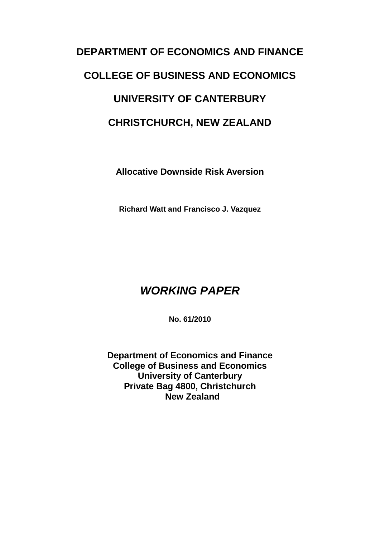# **DEPARTMENT OF ECONOMICS AND FINANCE COLLEGE OF BUSINESS AND ECONOMICS UNIVERSITY OF CANTERBURY CHRISTCHURCH, NEW ZEALAND**

**Allocative Downside Risk Aversion**

**Richard Watt and Francisco J. Vazquez**

## *WORKING PAPER*

**No. 61/2010**

**Department of Economics and Finance College of Business and Economics University of Canterbury Private Bag 4800, Christchurch New Zealand**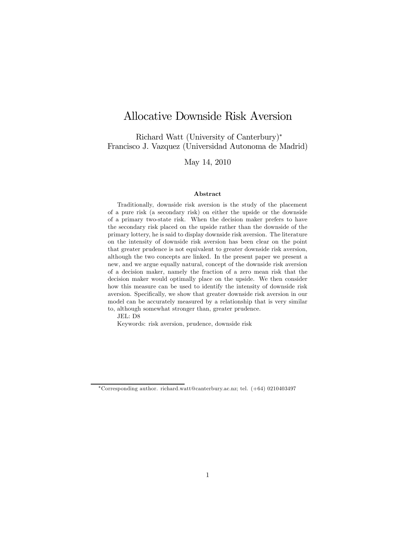## Allocative Downside Risk Aversion

Richard Watt (University of Canterbury)<sup>∗</sup> Francisco J. Vazquez (Universidad Autonoma de Madrid)

May 14, 2010

#### Abstract

Traditionally, downside risk aversion is the study of the placement of a pure risk (a secondary risk) on either the upside or the downside of a primary two-state risk. When the decision maker prefers to have the secondary risk placed on the upside rather than the downside of the primary lottery, he is said to display downside risk aversion. The literature on the intensity of downside risk aversion has been clear on the point that greater prudence is not equivalent to greater downside risk aversion, although the two concepts are linked. In the present paper we present a new, and we argue equally natural, concept of the downside risk aversion of a decision maker, namely the fraction of a zero mean risk that the decision maker would optimally place on the upside. We then consider how this measure can be used to identify the intensity of downside risk aversion. Specifically, we show that greater downside risk aversion in our model can be accurately measured by a relationship that is very similar to, although somewhat stronger than, greater prudence.

JEL: D8

Keywords: risk aversion, prudence, downside risk

<sup>∗</sup>Corresponding author. richard.watt@canterbury.ac.nz; tel. (+64) 0210403497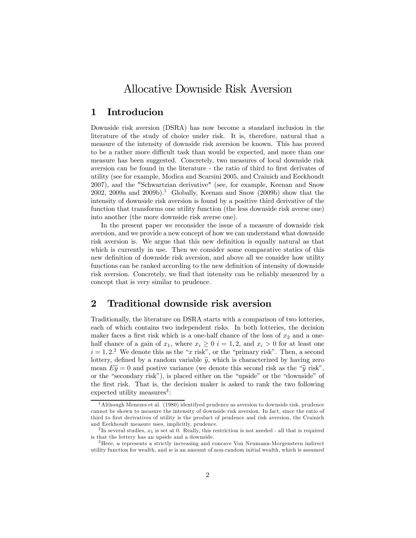## Allocative Downside Risk Aversion

### 1 Introducion

Downside risk aversion (DSRA) has now become a standard inclusion in the literature of the study of choice under risk. It is, therefore, natural that a measure of the intensity of downside risk aversion be known. This has proved to be a rather more difficult task than would be expected, and more than one measure has been suggested. Concretely, two measures of local downside risk aversion can be found in the literature - the ratio of third to first derivates of utility (see for example, Modica and Scarsini 2005, and Crainich and Eeckhoudt 2007), and the "Schwartzian derivative" (see, for example, Keenan and Snow 2002, 2009a and 2009b).<sup>1</sup> Globally, Keenan and Snow (2009b) show that the intensity of downside risk aversion is found by a positive third derivative of the function that transforms one utility function (the less downside risk averse one) into another (the more downside risk averse one).

In the present paper we reconsider the issue of a measure of downside risk aversion, and we provide a new concept of how we can understand what downside risk aversion is. We argue that this new definition is equally natural as that which is currently in use. Then we consider some comparative statics of this new definition of downside risk aversion, and above all we consider how utility functions can be ranked according to the new definition of intensity of downside risk aversion. Concretely, we find that intensity can be reliably measured by a concept that is very similar to prudence.

### 2 Traditional downside risk aversion

Traditionally, the literature on DSRA starts with a comparison of two lotteries, each of which contains two independent risks. In both lotteries, the decision maker faces a first risk which is a one-half chance of the loss of  $x_2$  and a onehalf chance of a gain of  $x_1$ , where  $x_i \geq 0$   $i = 1, 2$ , and  $x_i > 0$  for at least one  $i = 1, 2<sup>2</sup>$  We denote this as the "x risk", or the "primary risk". Then, a second lottery, defined by a random variable  $\tilde{y}$ , which is characterized by having zero mean  $E\tilde{y} = 0$  and postive variance (we denote this second risk as the " $\tilde{y}$  risk", or the "secondary risk"), is placed either on the "upside" or the "downside" of the first risk. That is, the decision maker is asked to rank the two following  $e$ xpected utility measures<sup>3</sup>:

<sup>&</sup>lt;sup>1</sup> Although Menezes et al.  $(1980)$  identifyed prudence as aversion to downside risk, prudence cannot be shown to measure the intensity of downside risk aversion. In fact, since the ratio of third to first derivatives of utility is the product of prudence and risk aversion, the Crainich and Eeckhoudt measure uses, implicitly, prudence.

<sup>&</sup>lt;sup>2</sup>In several studies,  $x_1$  is set at 0. Really, this restriction is not needed - all that is required is that the lottery has an upside and a downside.

<sup>&</sup>lt;sup>3</sup>Here, *u* represents a strictly increasing and concave Von Neumann-Morgenstern indirect utility function for wealth, and  $w$  is an amount of non-random initial wealth, which is assumed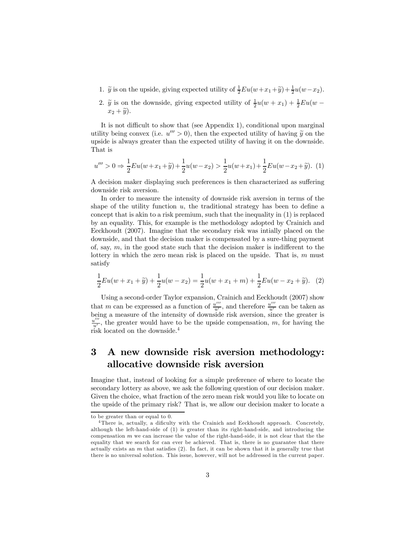- 1.  $\tilde{y}$  is on the upside, giving expected utility of  $\frac{1}{2}Eu(w+x_1+\tilde{y})+\frac{1}{2}u(w-x_2)$ .
- 2.  $\tilde{y}$  is on the downside, giving expected utility of  $\frac{1}{2}u(w+x_1) + \frac{1}{2}Eu(w-x_2)$  $x_2 + \widetilde{y}$ .

It is not difficult to show that (see Appendix 1), conditional upon marginal utility being convex (i.e.  $u''' > 0$ ), then the expected utility of having  $\tilde{y}$  on the upside is always greater than the expected utility of having it on the downside. That is

$$
u''' > 0 \Rightarrow \frac{1}{2}Eu(w+x_1+\tilde{y}) + \frac{1}{2}u(w-x_2) > \frac{1}{2}u(w+x_1) + \frac{1}{2}Eu(w-x_2+\tilde{y}).
$$
 (1)

A decision maker displaying such preferences is then characterized as suffering downside risk aversion.

In order to measure the intensity of downside risk aversion in terms of the shape of the utility function  $u$ , the traditional strategy has been to define a concept that is akin to a risk premium, such that the inequality in (1) is replaced by an equality. This, for example is the methodology adopted by Crainich and Eeckhoudt (2007). Imagine that the secondary risk was intially placed on the downside, and that the decision maker is compensated by a sure-thing payment of, say,  $m$ , in the good state such that the decision maker is indifferent to the lottery in which the zero mean risk is placed on the upside. That is,  $m$  must satisfy

$$
\frac{1}{2}Eu(w+x_1+\widetilde{y}) + \frac{1}{2}u(w-x_2) = \frac{1}{2}u(w+x_1+m) + \frac{1}{2}Eu(w-x_2+\widetilde{y}).
$$
 (2)

Using a second-order Taylor expansion, Crainich and Eeckhoudt (2007) show that m can be expressed as a function of  $\frac{u'''}{u'}$ , and therefore  $\frac{u'''}{u'}$  can be taken as being a measure of the intensity of downside risk aversion, since the greater is  $\frac{u^{\prime\prime\prime}}{u^{\prime}}$ , the greater would have to be the upside compensation, m, for having the risk located on the downside.4

## 3 A new downside risk aversion methodology: allocative downside risk aversion

Imagine that, instead of looking for a simple preference of where to locate the secondary lottery as above, we ask the following question of our decision maker. Given the choice, what fraction of the zero mean risk would you like to locate on the upside of the primary risk? That is, we allow our decision maker to locate a

to be greater than or equal to 0.

<sup>4</sup>There is, actually, a dificulty with the Crainich and Eeckhoudt approach. Concretely, although the left-hand-side of (1) is greater than its right-hand-side, and introducing the compensation  $m$  we can increase the value of the right-hand-side, it is not clear that the the equality that we search for can ever be achieved. That is, there is no guarantee that there actually exists an  $m$  that satisfies (2). In fact, it can be shown that it is generally true that there is no universal solution. This issue, however, will not be addressed in the current paper.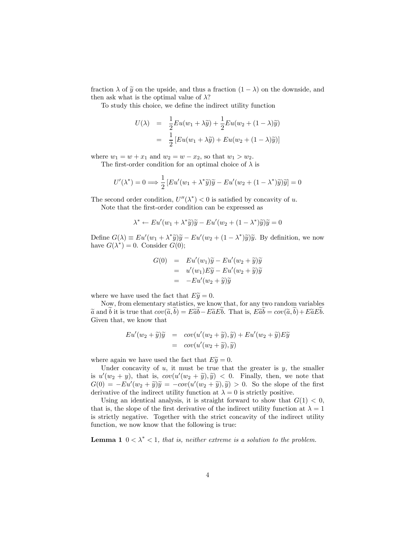fraction  $\lambda$  of  $\tilde{y}$  on the upside, and thus a fraction  $(1 - \lambda)$  on the downside, and then ask what is the optimal value of  $\lambda$ ?

To study this choice, we define the indirect utility function

$$
U(\lambda) = \frac{1}{2}Eu(w_1 + \lambda \widetilde{y}) + \frac{1}{2}Eu(w_2 + (1 - \lambda)\widetilde{y})
$$
  
= 
$$
\frac{1}{2}[Eu(w_1 + \lambda \widetilde{y}) + Eu(w_2 + (1 - \lambda)\widetilde{y})]
$$

where  $w_1 = w + x_1$  and  $w_2 = w - x_2$ , so that  $w_1 > w_2$ .

The first-order condition for an optimal choice of  $\lambda$  is

$$
U'(\lambda^*) = 0 \Longrightarrow \frac{1}{2} \left[ Eu'(w_1 + \lambda^* \widetilde{y})\widetilde{y} - Eu'(w_2 + (1 - \lambda^*)\widetilde{y})\widetilde{y} \right] = 0
$$

The second order condition,  $U''(\lambda^*) < 0$  is satisfied by concavity of u.

Note that the first-order condition can be expressed as

$$
\lambda^* \leftarrow Eu'(w_1 + \lambda^* \widetilde{y})\widetilde{y} - Eu'(w_2 + (1 - \lambda^*)\widetilde{y})\widetilde{y} = 0
$$

Define  $G(\lambda) \equiv Eu'(w_1 + \lambda^* \tilde{y})\tilde{y} - Eu'(w_2 + (1 - \lambda^*)\tilde{y})\tilde{y}$ . By definition, we now have  $G(\lambda^*)=0$ . Consider  $G(0)$ ;

$$
G(0) = Eu'(w_1)\widetilde{y} - Eu'(w_2 + \widetilde{y})\widetilde{y}
$$
  
=  $u'(w_1)E\widetilde{y} - Eu'(w_2 + \widetilde{y})\widetilde{y}$   
=  $-Eu'(w_2 + \widetilde{y})\widetilde{y}$ 

where we have used the fact that  $E\widetilde{y} = 0$ .

Now, from elementary statistics, we know that, for any two random variables  $\tilde{a}$  and b it is true that  $cov(\tilde{a},b) = E\tilde{a}b - E\tilde{a}Eb$ . That is,  $E\tilde{a}b = cov(\tilde{a},b) + E\tilde{a}Eb$ . Given that, we know that

$$
Eu'(w_2 + \widetilde{y})\widetilde{y} = cov(u'(w_2 + \widetilde{y}), \widetilde{y}) + Eu'(w_2 + \widetilde{y})E\widetilde{y}
$$
  
=  $cov(u'(w_2 + \widetilde{y}), \widetilde{y})$ 

where again we have used the fact that  $E\tilde{y} = 0$ .

Under concavity of  $u$ , it must be true that the greater is  $y$ , the smaller is  $u'(w_2 + y)$ , that is,  $cov(u'(w_2 + \tilde{y}), \tilde{y}) < 0$ . Finally, then, we note that  $G(0) = -Eu'(w_2 + \tilde{y})\tilde{y} = -cov(u'(w_2 + \tilde{y}), \tilde{y}) > 0$ . So the slope of the first derivative of the indirect utility function at  $\lambda = 0$  is strictly positive.

Using an identical analysis, it is straight forward to show that  $G(1) < 0$ , that is, the slope of the first derivative of the indirect utility function at  $\lambda = 1$ is strictly negative. Together with the strict concavity of the indirect utility function, we now know that the following is true:

**Lemma 1**  $0 < \lambda^* < 1$ , that is, neither extreme is a solution to the problem.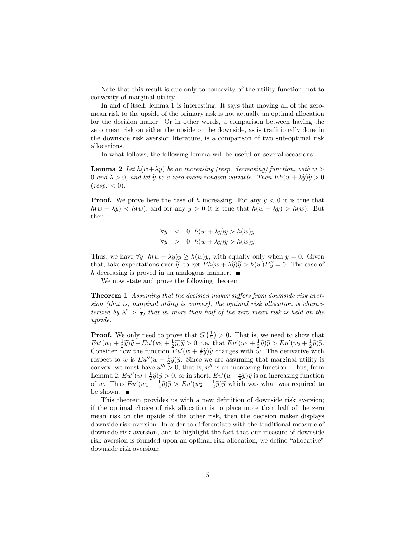Note that this result is due only to concavity of the utility function, not to convexity of marginal utility.

In and of itself, lemma 1 is interesting. It says that moving all of the zeromean risk to the upside of the primary risk is not actually an optimal allocation for the decision maker. Or in other words, a comparison between having the zero mean risk on either the upside or the downside, as is traditionally done in the downside risk aversion literature, is a comparison of two sub-optimal risk allocations.

In what follows, the following lemma will be useful on several occasions:

**Lemma 2** Let  $h(w + \lambda y)$  be an increasing (resp. decreasing) function, with  $w >$ 0 and  $\lambda > 0$ , and let  $\widetilde{y}$  be a zero mean random variable. Then  $Eh(w + \lambda \widetilde{y})\widetilde{y} > 0$  $(resp. < 0).$ 

**Proof.** We prove here the case of h increasing. For any  $y < 0$  it is true that  $h(w + \lambda y) < h(w)$ , and for any  $y > 0$  it is true that  $h(w + \lambda y) > h(w)$ . But then,

$$
\forall y \quad < \quad 0 \quad h(w + \lambda y)y > h(w)y
$$
\n
$$
\forall y \quad > \quad 0 \quad h(w + \lambda y)y > h(w)y
$$

Thus, we have  $\forall y \ h(w + \lambda y)y \geq h(w)y$ , with equalty only when  $y = 0$ . Given that, take expectations over  $\tilde{y}$ , to get  $Eh(w + \lambda \tilde{y})\tilde{y} > h(w)E\tilde{y} = 0$ . The case of h decreasing is proved in an analogous manner.  $\blacksquare$ 

We now state and prove the following theorem:

Theorem 1 Assuming that the decision maker suffers from downside risk aversion (that is, marginal utility is convex), the optimal risk allocation is characterized by  $\lambda^* > \frac{1}{2}$ , that is, more than half of the zero mean risk is held on the upside.

**Proof.** We only need to prove that  $G\left(\frac{1}{2}\right) > 0$ . That is, we need to show that  $Eu'(w_1 + \frac{1}{2}\tilde{y})\tilde{y} - Eu'(w_2 + \frac{1}{2}\tilde{y})\tilde{y} > 0$ , i.e. that  $Eu'(w_1 + \frac{1}{2}\tilde{y})\tilde{y} > Eu'(w_2 + \frac{1}{2}\tilde{y})\tilde{y}$ . Consider how the function  $Eu'(w + \frac{1}{2}\tilde{y})\tilde{y}$  changes with w. The derivative with respect to w is  $Eu''(w + \frac{1}{2}\tilde{y})\tilde{y}$ . Since we are assuming that marginal utility is convex, we must have  $u''' > 0$ , that is,  $u''$  is an increasing function. Thus, from Lemma 2,  $Eu''(w+\frac{1}{2}\tilde{y})\tilde{y} > 0$ , or in short,  $Eu'(w+\frac{1}{2}\tilde{y})\tilde{y}$  is an increasing function<br>of w. Thus  $Eu'(w_1+\frac{1}{2}\tilde{y})\tilde{y} > Eu'(w_2+\frac{1}{2}\tilde{y})\tilde{y}$  which was what was required to be shown.

This theorem provides us with a new definition of downside risk aversion; if the optimal choice of risk allocation is to place more than half of the zero mean risk on the upside of the other risk, then the decision maker displays downside risk aversion. In order to differentiate with the traditional measure of downside risk aversion, and to highlight the fact that our measure of downside risk aversion is founded upon an optimal risk allocation, we define "allocative" downside risk aversion: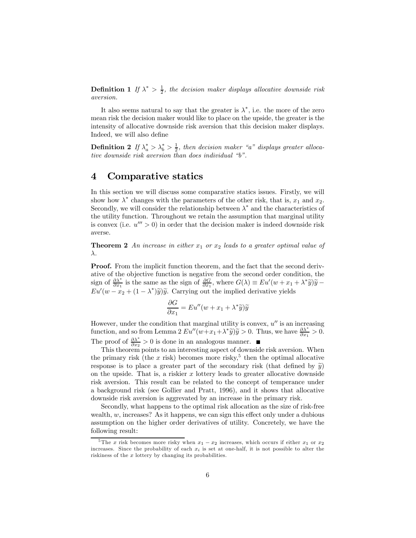**Definition 1** If  $\lambda^* > \frac{1}{2}$ , the decision maker displays allocative downside risk aversion.

It also seems natural to say that the greater is  $\lambda^*$ , i.e. the more of the zero mean risk the decision maker would like to place on the upside, the greater is the intensity of allocative downside risk aversion that this decision maker displays. Indeed, we will also define

**Definition 2** If  $\lambda_a^* > \lambda_b^* > \frac{1}{2}$ , then decision maker "a" displays greater allocative downside risk aversion than does individual "b".

#### 4 Comparative statics

In this section we will discuss some comparative statics issues. Firstly, we will show how  $\lambda^*$  changes with the parameters of the other risk, that is,  $x_1$  and  $x_2$ . Secondly, we will consider the relationship between  $\lambda^*$  and the characteristics of the utility function. Throughout we retain the assumption that marginal utility is convex (i.e.  $u''' > 0$ ) in order that the decision maker is indeed downside risk averse.

**Theorem 2** An increase in either  $x_1$  or  $x_2$  leads to a greater optimal value of λ.

Proof. From the implicit function theorem, and the fact that the second derivative of the objective function is negative from the second order condition, the sign of  $\frac{\partial \lambda^*}{\partial x_1}$  is the same as the sign of  $\frac{\partial G}{\partial x_1}$ , where  $G(\lambda) \equiv Eu'(w + x_1 + \lambda^* \tilde{y})\tilde{y} - Eu'(w - x_2 + (1 - \lambda^*)\tilde{y})\tilde{y}$ . Carrying out the implied derivative yields

$$
\frac{\partial G}{\partial x_1} = Eu''(w + x_1 + \lambda^* \widetilde{y})\widetilde{y}
$$

However, under the condition that marginal utility is convex,  $u''$  is an increasing function, and so from Lemma 2  $Eu''(w+x_1+\lambda^*\tilde{y})\tilde{y} > 0$ . Thus, we have  $\frac{\partial \lambda^*}{\partial x_1} > 0$ . The proof of  $\frac{\partial \lambda^*}{\partial x_2} > 0$  is done in an analogous manner.

This theorem points to an interesting aspect of downside risk aversion. When the primary risk (the  $x$  risk) becomes more risky,<sup>5</sup> then the optimal allocative response is to place a greater part of the secondary risk (that defined by  $\tilde{y}$ ) on the upside. That is, a riskier  $x$  lottery leads to greater allocative downside risk aversion. This result can be related to the concept of temperance under a background risk (see Gollier and Pratt, 1996), and it shows that allocative downside risk aversion is aggrevated by an increase in the primary risk.

Secondly, what happens to the optimal risk allocation as the size of risk-free wealth,  $w$ , increases? As it happens, we can sign this effect only under a dubious assumption on the higher order derivatives of utility. Concretely, we have the following result:

<sup>&</sup>lt;sup>5</sup>The x risk becomes more risky when  $x_1 - x_2$  increases, which occurs if either  $x_1$  or  $x_2$ increases. Since the probability of each  $x_i$  is set at one-half, it is not possible to alter the riskiness of the x lottery by changing its probabilities.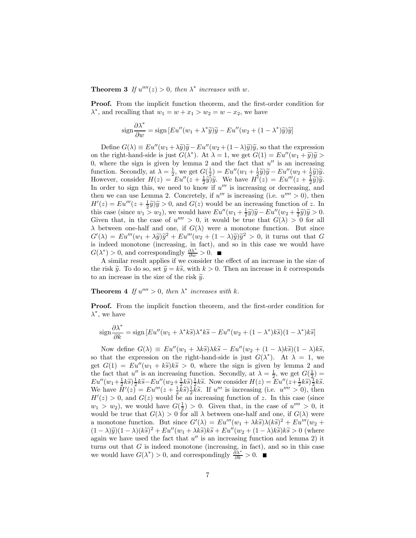**Theorem 3** If  $u''''(z) > 0$ , then  $\lambda^*$  increases with w.

Proof. From the implicit function theorem, and the first-order condition for  $\lambda^*$ , and recalling that  $w_1 = w + x_1 > w_2 = w - x_2$ , we have

$$
\operatorname{sign} \frac{\partial \lambda^*}{\partial w} = \operatorname{sign} \left[ E u''(w_1 + \lambda^* \widetilde{y}) \widetilde{y} - E u''(w_2 + (1 - \lambda^*) \widetilde{y}) \widetilde{y} \right]
$$

Define  $G(\lambda) \equiv E u''(w_1 + \lambda \tilde{y})\tilde{y} - E u''(w_2 + (1-\lambda)\tilde{y})\tilde{y}$ , so that the expression on the right-hand-side is just  $G(\lambda^*)$ . At  $\lambda = 1$ , we get  $G(1) = E u''(w_1 + \tilde{y}) \tilde{y} >$ 0, where the sign is given by lemma 2 and the fact that  $u''$  is an increasing function. Secondly, at  $\lambda = \frac{1}{2}$ , we get  $G(\frac{1}{2}) = Eu''(w_1 + \frac{1}{2}\tilde{y})\tilde{y} - Eu''(w_2 + \frac{1}{2}\tilde{y})\tilde{y}$ .<br>However, consider  $H(z) = Eu''(z + \frac{1}{2}\tilde{y})\tilde{y}$ . We have  $H'(z) = Eu'''(z + \frac{1}{2}\tilde{y})\tilde{y}$ . In order to sign this, we need to know if  $u^{\prime\prime\prime}$  is increasing or decreasing, and then we can use Lemma 2. Concretely, if  $u^{\prime\prime\prime}$  is increasing (i.e.  $u^{\prime\prime\prime\prime} > 0$ ), then  $H'(z) = Eu'''(z + \frac{1}{2}\tilde{y})\tilde{y} > 0$ , and  $G(z)$  would be an increasing function of z. In this case (since  $w_1 > w_2$ ), we would have  $Eu''(w_1 + \frac{1}{2}\tilde{y})\tilde{y} - Eu''(w_2 + \frac{1}{2}\tilde{y})\tilde{y} > 0$ . Given that, in the case of  $u'''' > 0$ , it would be true that  $G(\lambda) > 0$  for all  $\lambda$  between one-half and one, if  $G(\lambda)$  were a monotone function. But since  $G'(\lambda) = Eu'''(w_1 + \lambda \tilde{y})\tilde{y}^2 + Eu'''(w_2 + (1 - \lambda)\tilde{y})\tilde{y}^2 > 0$ , it turns out that G is indeed monotone (increasing, in fact), and so in this case we would have  $G(\lambda^*) > 0$ , and correspondingly  $\frac{\partial \lambda^*}{\partial w} > 0$ .

A similar result applies if we consider the effect of an increase in the size of the risk  $\tilde{y}$ . To do so, set  $\tilde{y} = k\tilde{s}$ , with  $k > 0$ . Then an increase in k corresponds to an increase in the size of the risk  $\tilde{y}$ .

**Theorem 4** If  $u'''' > 0$ , then  $\lambda^*$  increases with k.

Proof. From the implicit function theorem, and the first-order condition for  $\lambda^*$ , we have

$$
\operatorname{sign} \frac{\partial \lambda^*}{\partial k} = \operatorname{sign} \left[ E u''(w_1 + \lambda^* k \widetilde{s}) \lambda^* k \widetilde{s} - E u''(w_2 + (1 - \lambda^*) k \widetilde{s}) (1 - \lambda^*) k \widetilde{s} \right]
$$

Now define  $G(\lambda) \equiv E u''(w_1 + \lambda k \tilde{s}) \lambda k \tilde{s} - E u''(w_2 + (1 - \lambda)k \tilde{s}) (1 - \lambda) k \tilde{s}$ , so that the expression on the right-hand-side is just  $G(\lambda^*)$ . At  $\lambda = 1$ , we get  $G(1) = Eu''(w_1 + k\tilde{s})k\tilde{s} > 0$ , where the sign is given by lemma 2 and the fact that  $u''$  is an increasing function. Secondly, at  $\lambda = \frac{1}{2}$ , we get  $G(\frac{1}{2})$  $Eu''(w_1 + \frac{1}{2}k\tilde{s}) \frac{1}{2}k\tilde{s} - Eu''(w_2 + \frac{1}{2}k\tilde{s}) \frac{1}{2}k\tilde{s}$ . Now consider  $H(z) = Eu''(z + \frac{1}{2}k\tilde{s}) \frac{1}{2}k\tilde{s}$ .<br>We have  $H'(z) = Eu'''(z + \frac{1}{2}k\tilde{s}) \frac{1}{2}k\tilde{s}$ . If  $u'''$  is increasing (i.e.  $u'''' > 0$ ), then  $H'(z) > 0$ , and  $G(z)$  would be an increasing function of z. In this case (since  $w_1 > w_2$ ), we would have  $G(\frac{1}{2}) > 0$ . Given that, in the case of  $u'''' > 0$ , it would be true that  $G(\lambda) > 0$  for all  $\lambda$  between one-half and one, if  $G(\lambda)$  were a monotone function. But since  $G'(\lambda) = Eu'''(w_1 + \lambda k\tilde{s})\lambda(k\tilde{s})^2 + Eu'''(w_2 +$  $(1 - \lambda)\tilde{y}$  $(1 - \lambda)(k\tilde{s})^2 + E u''(w_1 + \lambda k\tilde{s})k\tilde{s} + E u''(w_2 + (1 - \lambda)k\tilde{s})k\tilde{s} > 0$  (where again we have used the fact that  $u''$  is an increasing function and lemma 2) it turns out that  $G$  is indeed monotone (increasing, in fact), and so in this case we would have  $G(\lambda^*) > 0$ , and correspondingly  $\frac{\partial \lambda^*}{\partial k} > 0$ .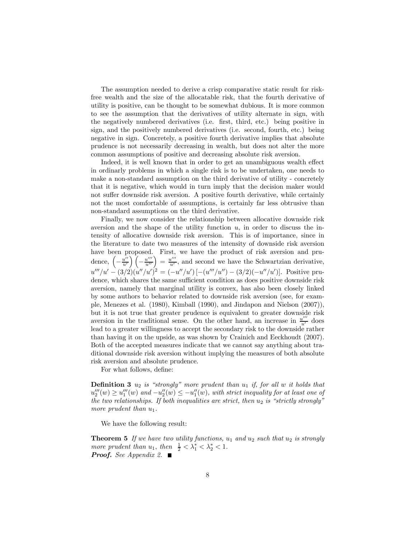The assumption needed to derive a crisp comparative static result for riskfree wealth and the size of the allocatable risk, that the fourth derivative of utility is positive, can be thought to be somewhat dubious. It is more common to see the assumption that the derivatives of utility alternate in sign, with the negatively numbered derivatives (i.e. first, third, etc.) being positive in sign, and the positively numbered derivatives (i.e. second, fourth, etc.) being negative in sign. Concretely, a positive fourth derivative implies that absolute prudence is not necessarily decreasing in wealth, but does not alter the more common assumptions of positive and decreasing absolute risk aversion.

Indeed, it is well known that in order to get an unambiguous wealth effect in ordinarly problems in which a single risk is to be undertaken, one needs to make a non-standard assumption on the third derivative of utility - concretely that it is negative, which would in turn imply that the decision maker would not suffer downside risk aversion. A positive fourth derivative, while certainly not the most comfortable of assumptions, is certainly far less obtrusive than non-standard assumptions on the third derivative.

Finally, we now consider the relationship between allocative downside risk aversion and the shape of the utility function  $u$ , in order to discuss the intensity of allocative downside risk aversion. This is of importance, since in the literature to date two measures of the intensity of downside risk aversion have been proposed. First, we have the product of risk aversion and prudence,  $\left(-\frac{u''}{u'}\right)\left(-\frac{u'''}{u''}\right) = \frac{u'''}{u'}$ , and second we have the Schwartzian derivative,  $u'''/u' - (3/2)(u''/u')^2 = (-u''/u')[-(u'''/u'') - (3/2)(-u''/u')]$ . Positive prudence, which shares the same sufficient condition as does positive downside risk aversion, namely that marginal utility is convex, has also been closely linked by some authors to behavior related to downside risk aversion (see, for example, Menezes et al. (1980), Kimball (1990), and Jindapon and Nielson (2007)), but it is not true that greater prudence is equivalent to greater downside risk aversion in the traditional sense. On the other hand, an increase in  $\frac{u^{\prime\prime\prime}}{u^{\prime}}$  does lead to a greater willingness to accept the secondary risk to the downside rather than having it on the upside, as was shown by Crainich and Eeckhoudt (2007). Both of the accepted measures indicate that we cannot say anything about traditional downside risk aversion without implying the measures of both absolute risk aversion and absolute prudence.

For what follows, define:

**Definition 3**  $u_2$  is "strongly" more prudent than  $u_1$  if, for all w it holds that  $u_2'''(w) \ge u_1'''(w)$  and  $-u_2''(w) \le -u_1''(w)$ , with strict inequality for at least one of the two relationships. If both inequalities are strict, then  $u_2$  is "strictly strongly" more prudent than  $u_1$ .

We have the following result:

**Theorem 5** If we have two utility functions,  $u_1$  and  $u_2$  such that  $u_2$  is strongly more prudent than  $u_1$ , then  $\frac{1}{2} < \lambda_1^* < \lambda_2^* < 1$ . **Proof.** See Appendix 2.  $\blacksquare$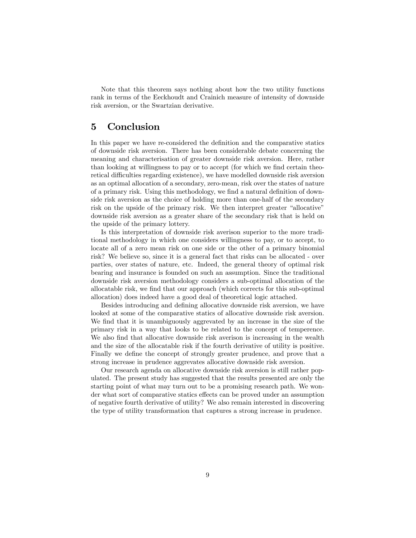Note that this theorem says nothing about how the two utility functions rank in terms of the Eeckhoudt and Crainich measure of intensity of downside risk aversion, or the Swartzian derivative.

#### 5 Conclusion

In this paper we have re-considered the definition and the comparative statics of downside risk aversion. There has been considerable debate concerning the meaning and characterisation of greater downside risk aversion. Here, rather than looking at willingness to pay or to accept (for which we find certain theoretical difficulties regarding existence), we have modelled downside risk aversion as an optimal allocation of a secondary, zero-mean, risk over the states of nature of a primary risk. Using this methodology, we find a natural definition of downside risk aversion as the choice of holding more than one-half of the secondary risk on the upside of the primary risk. We then interpret greater "allocative" downside risk aversion as a greater share of the secondary risk that is held on the upside of the primary lottery.

Is this interpretation of downside risk averison superior to the more traditional methodology in which one considers willingness to pay, or to accept, to locate all of a zero mean risk on one side or the other of a primary binomial risk? We believe so, since it is a general fact that risks can be allocated - over parties, over states of nature, etc. Indeed, the general theory of optimal risk bearing and insurance is founded on such an assumption. Since the traditional downside risk aversion methodology considers a sub-optimal allocation of the allocatable risk, we find that our approach (which corrects for this sub-optimal allocation) does indeed have a good deal of theoretical logic attached.

Besides introducing and defining allocative downside risk aversion, we have looked at some of the comparative statics of allocative downside risk aversion. We find that it is unambiguously aggrevated by an increase in the size of the primary risk in a way that looks to be related to the concept of temperence. We also find that allocative downside risk averison is increasing in the wealth and the size of the allocatable risk if the fourth derivative of utility is positive. Finally we define the concept of strongly greater prudence, and prove that a strong increase in prudence aggrevates allocative downside risk aversion.

Our research agenda on allocative downside risk aversion is still rather populated. The present study has suggested that the results presented are only the starting point of what may turn out to be a promising research path. We wonder what sort of comparative statics effects can be proved under an assumption of negative fourth derivative of utility? We also remain interested in discovering the type of utility transformation that captures a strong increase in prudence.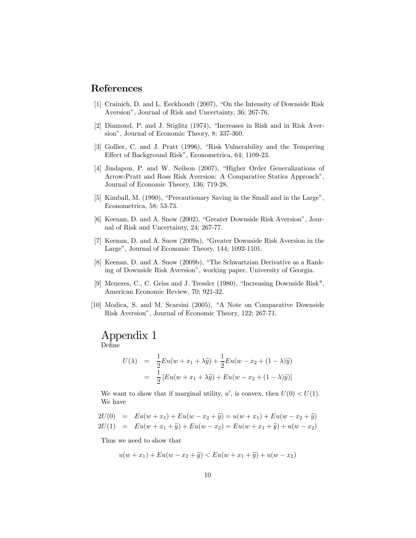## References

- [1] Crainich, D. and L. Eeckhoudt (2007), "On the Intensity of Downside Risk Aversion", Journal of Risk and Uncertainty, 36; 267-76.
- [2] Diamond, P. and J. Stiglitz (1974), "Increases in Risk and in Risk Aversion", Journal of Economic Theory, 8; 337-360.
- [3] Gollier, C. and J. Pratt (1996), "Risk Vulnerability and the Tempering Effect of Background Risk", Econometrica, 64; 1109-23.
- [4] Jindapon, P. and W. Neilson (2007), "Higher Order Generalizations of Arrow-Pratt and Ross Risk Aversion: A Comparative Statics Approach", Journal of Economic Theory, 136; 719-28.
- [5] Kimball, M. (1990), "Precautionary Saving in the Small and in the Large", Econometrica, 58; 53-73.
- [6] Keenan, D. and A. Snow (2002), "Greater Downside Risk Aversion", Journal of Risk and Uncertainty, 24; 267-77.
- [7] Keenan, D. and A. Snow (2009a), "Greater Downside Risk Aversion in the Large", Journal of Economic Theory, 144; 1092-1101.
- [8] Keenan, D. and A. Snow (2009b), "The Schwartzian Derivative as a Ranking of Downside Risk Aversion", working paper, University of Georgia.
- [9] Menezes, C., C. Geiss and J. Tressler (1980), "Increasing Downside Risk", American Economic Review, 70; 921-32.
- [10] Modica, S. and M. Scarsini (2005), "A Note on Comparative Downside Risk Aversion", Journal of Economic Theory, 122; 267-71.

## Appendix 1

Define

$$
U(\lambda) = \frac{1}{2}Eu(w + x_1 + \lambda \widetilde{y}) + \frac{1}{2}Eu(w - x_2 + (1 - \lambda)\widetilde{y})
$$
  
= 
$$
\frac{1}{2}[Eu(w + x_1 + \lambda \widetilde{y}) + Eu(w - x_2 + (1 - \lambda)\widetilde{y})]
$$

We want to show that if marginal utility,  $u'$ , is convex, then  $U(0) < U(1)$ . We have

$$
2U(0) = Eu(w + x1) + Eu(w - x2 + \tilde{y}) = u(w + x1) + Eu(w - x2 + \tilde{y})
$$
  

$$
2U(1) = Eu(w + x1 + \tilde{y}) + Eu(w - x2) = Eu(w + x1 + \tilde{y}) + u(w - x2)
$$

Thus we need to show that

 $u(w + x_1) + Eu(w - x_2 + \tilde{y}) < Eu(w + x_1 + \tilde{y}) + u(w - x_2)$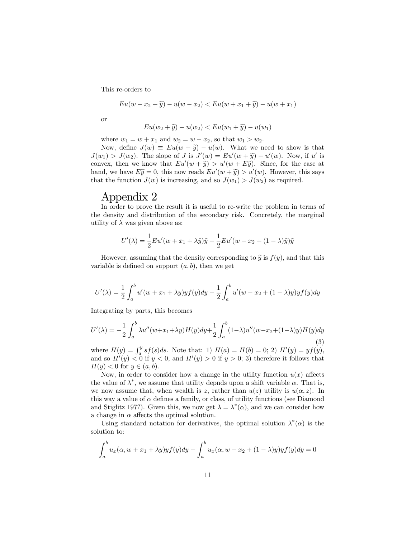This re-orders to

$$
Eu(w - x_2 + \tilde{y}) - u(w - x_2) < Eu(w + x_1 + \tilde{y}) - u(w + x_1)
$$

or

$$
Eu(w_2 + \widetilde{y}) - u(w_2) < Eu(w_1 + \widetilde{y}) - u(w_1)
$$

where  $w_1 = w + x_1$  and  $w_2 = w - x_2$ , so that  $w_1 > w_2$ .

Now, define  $J(w) \equiv Eu(w + \tilde{y}) - u(w)$ . What we need to show is that  $J(w_1) > J(w_2)$ . The slope of J is  $J'(w) = Eu'(w + \tilde{y}) - u'(w)$ . Now, if u' is convex, then we know that  $Eu'(w + \tilde{y}) > u'(w + E\tilde{y})$ . Since, for the case at hand, we have  $E\widetilde{y} = 0$ , this now reads  $Eu'(w + \widetilde{y}) > u'(w)$ . However, this says that the function  $J(w)$  is increasing, and so  $J(w_1) > J(w_2)$  as required.

### Appendix 2

In order to prove the result it is useful to re-write the problem in terms of the density and distribution of the secondary risk. Concretely, the marginal utility of  $\lambda$  was given above as:

$$
U'(\lambda) = \frac{1}{2}Eu'(w + x_1 + \lambda \tilde{y})\tilde{y} - \frac{1}{2}Eu'(w - x_2 + (1 - \lambda)\tilde{y})\tilde{y}
$$

However, assuming that the density corresponding to  $\tilde{y}$  is  $f(y)$ , and that this variable is defined on support  $(a, b)$ , then we get

$$
U'(\lambda) = \frac{1}{2} \int_a^b u'(w + x_1 + \lambda y) y f(y) dy - \frac{1}{2} \int_a^b u'(w - x_2 + (1 - \lambda)y) y f(y) dy
$$

Integrating by parts, this becomes

$$
U'(\lambda) = -\frac{1}{2} \int_a^b \lambda u''(w+x_1+\lambda y) H(y) dy + \frac{1}{2} \int_a^b (1-\lambda) u''(w-x_2+(1-\lambda)y) H(y) dy
$$
\n(3)

where  $H(y) = \int_a^y s f(s) ds$ . Note that: 1)  $H(a) = H(b) = 0;$  2)  $H'(y) = y f(y),$ and so  $H'(y) < 0$  if  $y < 0$ , and  $H'(y) > 0$  if  $y > 0$ ; 3) therefore it follows that  $H(y) < 0$  for  $y \in (a, b)$ .

Now, in order to consider how a change in the utility function  $u(x)$  affects the value of  $\lambda^*$ , we assume that utility depnds upon a shift variable  $\alpha$ . That is, we now assume that, when wealth is z, rather than  $u(z)$  utility is  $u(\alpha, z)$ . In this way a value of  $\alpha$  defines a family, or class, of utility functions (see Diamond and Stiglitz 197?). Given this, we now get  $\lambda = \lambda^*(\alpha)$ , and we can consider how a change in  $\alpha$  affects the optimal solution.

Using standard notation for derivatives, the optimal solution  $\lambda^*(\alpha)$  is the solution to:

$$
\int_a^b u_x(\alpha, w + x_1 + \lambda y) y f(y) dy - \int_a^b u_x(\alpha, w - x_2 + (1 - \lambda)y) y f(y) dy = 0
$$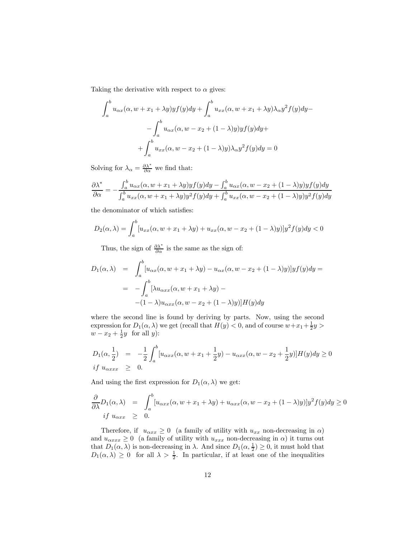Taking the derivative with respect to  $\alpha$  gives:

$$
\int_{a}^{b} u_{\alpha x}(\alpha, w + x_1 + \lambda y) y f(y) dy + \int_{a}^{b} u_{xx}(\alpha, w + x_1 + \lambda y) \lambda_{\alpha} y^2 f(y) dy -
$$

$$
- \int_{a}^{b} u_{\alpha x}(\alpha, w - x_2 + (1 - \lambda) y) y f(y) dy +
$$

$$
+ \int_{a}^{b} u_{xx}(\alpha, w - x_2 + (1 - \lambda) y) \lambda_{\alpha} y^2 f(y) dy = 0
$$

Solving for  $\lambda_{\alpha} = \frac{\partial \lambda^*}{\partial \alpha}$  we find that:

$$
\frac{\partial \lambda^*}{\partial \alpha} = -\frac{\int_a^b u_{\alpha x}(\alpha, w + x_1 + \lambda y)y f(y) dy - \int_a^b u_{\alpha x}(\alpha, w - x_2 + (1 - \lambda)y)y f(y) dy}{\int_a^b u_{xx}(\alpha, w + x_1 + \lambda y)y^2 f(y) dy + \int_a^b u_{xx}(\alpha, w - x_2 + (1 - \lambda)y)y^2 f(y) dy}
$$

the denominator of which satisfies:

$$
D_2(\alpha, \lambda) = \int_a^b [u_{xx}(\alpha, w + x_1 + \lambda y) + u_{xx}(\alpha, w - x_2 + (1 - \lambda)y)]y^2 f(y) dy < 0
$$

Thus, the sign of  $\frac{\partial \lambda^*}{\partial \alpha}$  is the same as the sign of:

$$
D_1(\alpha, \lambda) = \int_a^b [u_{\alpha x}(\alpha, w + x_1 + \lambda y) - u_{\alpha x}(\alpha, w - x_2 + (1 - \lambda)y)]y f(y) dy =
$$
  
= 
$$
- \int_a^b [\lambda u_{\alpha x x}(\alpha, w + x_1 + \lambda y) -
$$

$$
- (1 - \lambda)u_{\alpha x x}(\alpha, w - x_2 + (1 - \lambda)y)]H(y) dy
$$

where the second line is found by deriving by parts. Now, using the second expression for  $D_1(\alpha, \lambda)$  we get (recall that  $H(y) < 0$ , and of course  $w + x_1 + \frac{1}{2}y >$  $w - x_2 + \frac{1}{2}y$  for all y):

$$
D_1(\alpha, \frac{1}{2}) = -\frac{1}{2} \int_a^b [u_{\alpha xx}(\alpha, w + x_1 + \frac{1}{2}y) - u_{\alpha xx}(\alpha, w - x_2 + \frac{1}{2}y)]H(y)dy \ge 0
$$
  
*if*  $u_{\alpha xx} \ge 0$ .

And using the first expression for  $D_1(\alpha, \lambda)$  we get:

$$
\frac{\partial}{\partial \lambda} D_1(\alpha, \lambda) = \int_a^b [u_{\alpha xx}(\alpha, w + x_1 + \lambda y) + u_{\alpha xx}(\alpha, w - x_2 + (1 - \lambda)y)]y^2 f(y) dy \ge 0
$$
  
if  $u_{\alpha xx} \ge 0$ .

Therefore, if  $u_{\alpha xx} \geq 0$  (a family of utility with  $u_{xx}$  non-decreasing in  $\alpha$ ) and  $u_{\alpha xx} \geq 0$  (a family of utility with  $u_{xxx}$  non-decreasing in  $\alpha$ ) it turns out that  $D_1(\alpha, \lambda)$  is non-decreasing in  $\lambda$ . And since  $D_1(\alpha, \frac{1}{2}) \geq 0$ , it must hold that  $D_1(\alpha, \lambda) \geq 0$  for all  $\lambda > \frac{1}{2}$ . In particular, if at least one of the inequalities